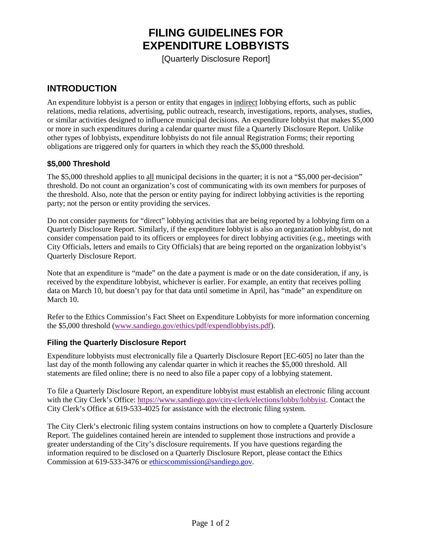# **FILING GUIDELINES FOR EXPENDITURE LOBBYISTS**

[Quarterly Disclosure Report]

### **INTRODUCTION**

An expenditure lobbyist is a person or entity that engages in indirect lobbying efforts, such as public relations, media relations, advertising, public outreach, research, investigations, reports, analyses, studies, or similar activities designed to influence municipal decisions. An expenditure lobbyist that makes \$5,000 or more in such expenditures during a calendar quarter must file a Quarterly Disclosure Report. Unlike other types of lobbyists, expenditure lobbyists do not file annual Registration Forms; their reporting obligations are triggered only for quarters in which they reach the \$5,000 threshold.

### **\$5,000 Threshold**

The \$5,000 threshold applies to all municipal decisions in the quarter; it is not a "\$5,000 per-decision" threshold. Do not count an organization's cost of communicating with its own members for purposes of the threshold. Also, note that the person or entity paying for indirect lobbying activities is the reporting party; not the person or entity providing the services.

Do not consider payments for "direct" lobbying activities that are being reported by a lobbying firm on a Quarterly Disclosure Report. Similarly, if the expenditure lobbyist is also an organization lobbyist, do not consider compensation paid to its officers or employees for direct lobbying activities (e.g., meetings with City Officials, letters and emails to City Officials) that are being reported on the organization lobbyist's Quarterly Disclosure Report.

Note that an expenditure is "made" on the date a payment is made or on the date consideration, if any, is received by the expenditure lobbyist, whichever is earlier. For example, an entity that receives polling data on March 10, but doesn't pay for that data until sometime in April, has "made" an expenditure on March 10.

Refer to the Ethics Commission's Fact Sheet on Expenditure Lobbyists for more information concerning the \$5,000 threshold [\(www.sandiego.gov/ethics/pdf/expendlobbyists.pdf\)](http://www.sandiego.gov/ethics/pdf/expendlobbyists.pdf).

### **Filing the Quarterly Disclosure Report**

Expenditure lobbyists must electronically file a Quarterly Disclosure Report [EC-605] no later than the last day of the month following any calendar quarter in which it reaches the \$5,000 threshold. All statements are filed online; there is no need to also file a paper copy of a lobbying statement.

To file a Quarterly Disclosure Report, an expenditure lobbyist must establish an electronic filing account with the City Clerk's Office[: https://www.sandiego.gov/city-clerk/elections/lobby/lobbyist.](https://www.sandiego.gov/city-clerk/elections/lobby/lobbyist) Contact the City Clerk's Office at 619-533-4025 for assistance with the electronic filing system.

The City Clerk's electronic filing system contains instructions on how to complete a Quarterly Disclosure Report. The guidelines contained herein are intended to supplement those instructions and provide a greater understanding of the City's disclosure requirements. If you have questions regarding the information required to be disclosed on a Quarterly Disclosure Report, please contact the Ethics Commission at 619-533-3476 or [ethicscommission@sandiego.gov.](mailto:ethicscommission@sandiego.gov)